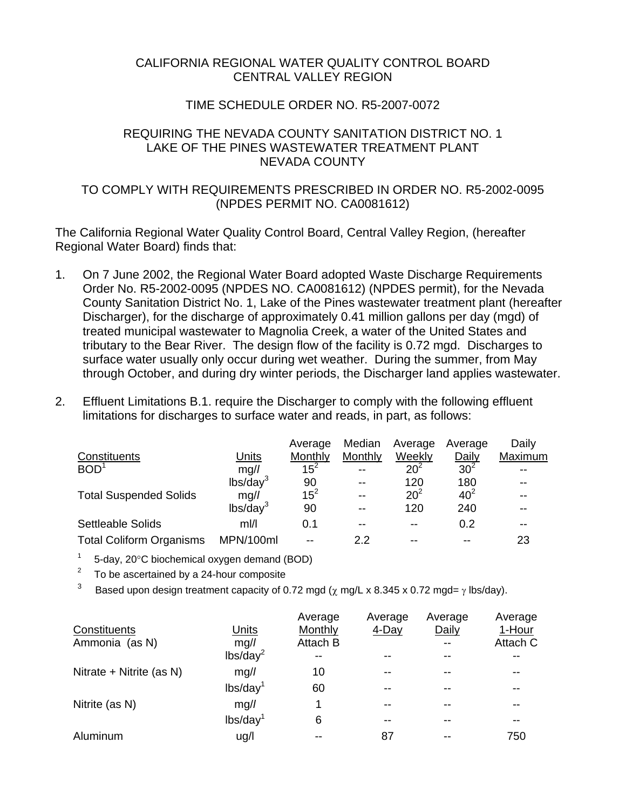### CALIFORNIA REGIONAL WATER QUALITY CONTROL BOARD CENTRAL VALLEY REGION

# TIME SCHEDULE ORDER NO. R5-2007-0072

#### REQUIRING THE NEVADA COUNTY SANITATION DISTRICT NO. 1 LAKE OF THE PINES WASTEWATER TREATMENT PLANT NEVADA COUNTY

# TO COMPLY WITH REQUIREMENTS PRESCRIBED IN ORDER NO. R5-2002-0095 (NPDES PERMIT NO. CA0081612)

The California Regional Water Quality Control Board, Central Valley Region, (hereafter Regional Water Board) finds that:

- 1. On 7 June 2002, the Regional Water Board adopted Waste Discharge Requirements Order No. R5-2002-0095 (NPDES NO. CA0081612) (NPDES permit), for the Nevada County Sanitation District No. 1, Lake of the Pines wastewater treatment plant (hereafter Discharger), for the discharge of approximately 0.41 million gallons per day (mgd) of treated municipal wastewater to Magnolia Creek, a water of the United States and tributary to the Bear River. The design flow of the facility is 0.72 mgd. Discharges to surface water usually only occur during wet weather. During the summer, from May through October, and during dry winter periods, the Discharger land applies wastewater.
- 2. Effluent Limitations B.1. require the Discharger to comply with the following effluent limitations for discharges to surface water and reads, in part, as follows:

|                                 |                      | Average  | Median  | Average  | Average         | Daily   |
|---------------------------------|----------------------|----------|---------|----------|-----------------|---------|
| Constituents                    | Units                | Monthly  | Monthly | Weekly   | Daily           | Maximum |
| BOD <sup>1</sup>                | mg/l                 | $15^2$   | $- -$   | $20^{2}$ | 30 <sup>2</sup> |         |
|                                 | lbs/day <sup>3</sup> | 90       | --      | 120      | 180             |         |
| <b>Total Suspended Solids</b>   | mg/l                 | $15^{2}$ | $- -$   | $20^{2}$ | 40 <sup>2</sup> |         |
|                                 | lbs/day <sup>3</sup> | 90       | $- -$   | 120      | 240             |         |
| <b>Settleable Solids</b>        | mI/l                 | 0.1      | --      | --       | 0.2             |         |
| <b>Total Coliform Organisms</b> | MPN/100ml            |          | 22      | --       |                 | 23      |

 $1 - 5$ -day, 20 $\degree$ C biochemical oxygen demand (BOD)

- $2^2$  To be ascertained by a 24-hour composite
- <sup>3</sup> Based upon design treatment capacity of 0.72 mgd ( $\chi$  mg/L x 8.345 x 0.72 mgd=  $\gamma$  lbs/day).

|                          |                        | Average  | Average | Average | Average  |
|--------------------------|------------------------|----------|---------|---------|----------|
| Constituents             | Units                  | Monthly  | 4-Day   | Daily   | 1-Hour   |
| Ammonia (as N)           | mg/l                   | Attach B |         | $-$     | Attach C |
|                          | lbs/day <sup>2</sup>   | --       |         |         |          |
| Nitrate + Nitrite (as N) | mg/l                   | 10       | --      | --      |          |
|                          | $lbs/day$ <sup>1</sup> | 60       |         |         |          |
| Nitrite (as N)           | mg/l                   |          | $- -$   |         |          |
|                          | lbs/day <sup>1</sup>   | 6        | $- -$   | --      |          |
| Aluminum                 | ug/l                   | --       | 87      | $- -$   | 750      |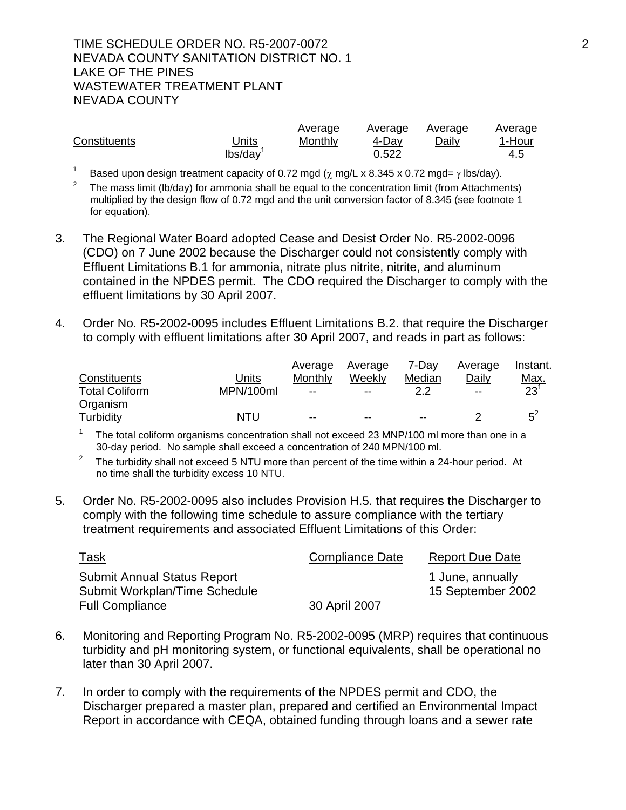### TIME SCHEDULE ORDER NO. R5-2007-0072 2 NEVADA COUNTY SANITATION DISTRICT NO. 1 LAKE OF THE PINES WASTEWATER TREATMENT PLANT NEVADA COUNTY

|              |              | Average | Average | Average | Average |
|--------------|--------------|---------|---------|---------|---------|
| Constituents | <u>Units</u> | Monthly | 4-Dav   | Daily   | 1-Hour  |
|              | lbs/day      |         | 0.522   |         | 4.5     |

<sup>1</sup> Based upon design treatment capacity of 0.72 mgd ( $\chi$  mg/L x 8.345 x 0.72 mgd=  $\gamma$  lbs/day).

2 The mass limit (lb/day) for ammonia shall be equal to the concentration limit (from Attachments) multiplied by the design flow of 0.72 mgd and the unit conversion factor of 8.345 (see footnote 1 for equation).

- 3. The Regional Water Board adopted Cease and Desist Order No. R5-2002-0096 (CDO) on 7 June 2002 because the Discharger could not consistently comply with Effluent Limitations B.1 for ammonia, nitrate plus nitrite, nitrite, and aluminum contained in the NPDES permit. The CDO required the Discharger to comply with the effluent limitations by 30 April 2007.
- 4. Order No. R5-2002-0095 includes Effluent Limitations B.2. that require the Discharger to comply with effluent limitations after 30 April 2007, and reads in part as follows:

|                       |           | Average | Average | 7-Dav                    | Average | Instant.    |
|-----------------------|-----------|---------|---------|--------------------------|---------|-------------|
| Constituents          | Units     | Monthly | Weekly  | Median                   | Daily   | <u>Max.</u> |
| <b>Total Coliform</b> | MPN/100ml | $- -$   | $- -$   | 2.2                      | $- -$   | $23^{1}$    |
| Organism              |           |         |         |                          |         |             |
| Turbidity             | NTU       | $- -$   | $- -$   | $\overline{\phantom{m}}$ |         | $5^2$       |

<sup>1</sup> The total coliform organisms concentration shall not exceed 23 MNP/100 ml more than one in a 30-day period. No sample shall exceed a concentration of 240 MPN/100 ml.

- <sup>2</sup> The turbidity shall not exceed 5 NTU more than percent of the time within a 24-hour period. At no time shall the turbidity excess 10 NTU.
- 5. Order No. R5-2002-0095 also includes Provision H.5. that requires the Discharger to comply with the following time schedule to assure compliance with the tertiary treatment requirements and associated Effluent Limitations of this Order:

| <u>Task</u>                        | Compliance Date | <b>Report Due Date</b> |
|------------------------------------|-----------------|------------------------|
| <b>Submit Annual Status Report</b> |                 | 1 June, annually       |
| Submit Workplan/Time Schedule      |                 | 15 September 2002      |
| <b>Full Compliance</b>             | 30 April 2007   |                        |

- 6. Monitoring and Reporting Program No. R5-2002-0095 (MRP) requires that continuous turbidity and pH monitoring system, or functional equivalents, shall be operational no later than 30 April 2007.
- 7. In order to comply with the requirements of the NPDES permit and CDO, the Discharger prepared a master plan, prepared and certified an Environmental Impact Report in accordance with CEQA, obtained funding through loans and a sewer rate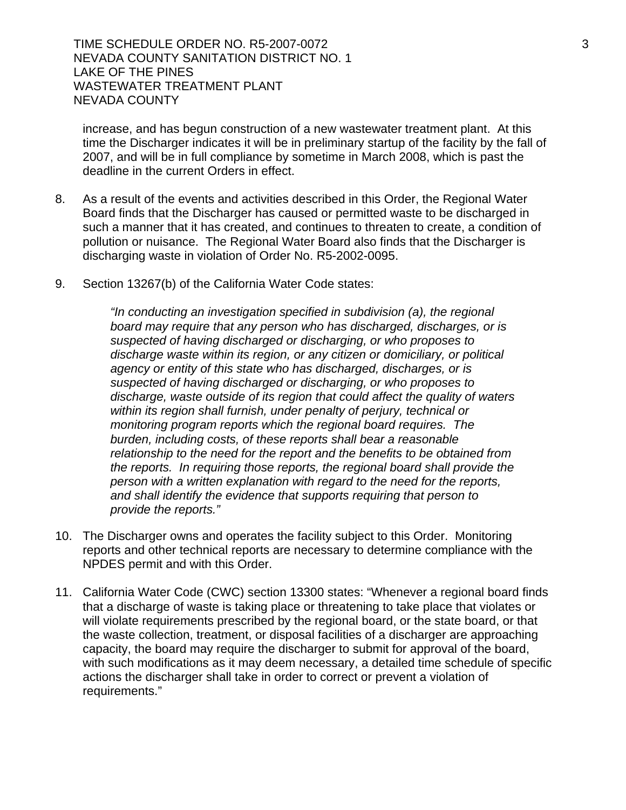TIME SCHEDULE ORDER NO. R5-2007-0072 3 3 NEVADA COUNTY SANITATION DISTRICT NO. 1 LAKE OF THE PINES WASTEWATER TREATMENT PLANT NEVADA COUNTY

increase, and has begun construction of a new wastewater treatment plant. At this time the Discharger indicates it will be in preliminary startup of the facility by the fall of 2007, and will be in full compliance by sometime in March 2008, which is past the deadline in the current Orders in effect.

- 8. As a result of the events and activities described in this Order, the Regional Water Board finds that the Discharger has caused or permitted waste to be discharged in such a manner that it has created, and continues to threaten to create, a condition of pollution or nuisance. The Regional Water Board also finds that the Discharger is discharging waste in violation of Order No. R5-2002-0095.
- 9. Section 13267(b) of the California Water Code states:

*"In conducting an investigation specified in subdivision (a), the regional board may require that any person who has discharged, discharges, or is suspected of having discharged or discharging, or who proposes to discharge waste within its region, or any citizen or domiciliary, or political agency or entity of this state who has discharged, discharges, or is suspected of having discharged or discharging, or who proposes to discharge, waste outside of its region that could affect the quality of waters within its region shall furnish, under penalty of perjury, technical or monitoring program reports which the regional board requires. The burden, including costs, of these reports shall bear a reasonable relationship to the need for the report and the benefits to be obtained from the reports. In requiring those reports, the regional board shall provide the person with a written explanation with regard to the need for the reports, and shall identify the evidence that supports requiring that person to provide the reports."*

- 10. The Discharger owns and operates the facility subject to this Order. Monitoring reports and other technical reports are necessary to determine compliance with the NPDES permit and with this Order.
- 11. California Water Code (CWC) section 13300 states: "Whenever a regional board finds that a discharge of waste is taking place or threatening to take place that violates or will violate requirements prescribed by the regional board, or the state board, or that the waste collection, treatment, or disposal facilities of a discharger are approaching capacity, the board may require the discharger to submit for approval of the board, with such modifications as it may deem necessary, a detailed time schedule of specific actions the discharger shall take in order to correct or prevent a violation of requirements."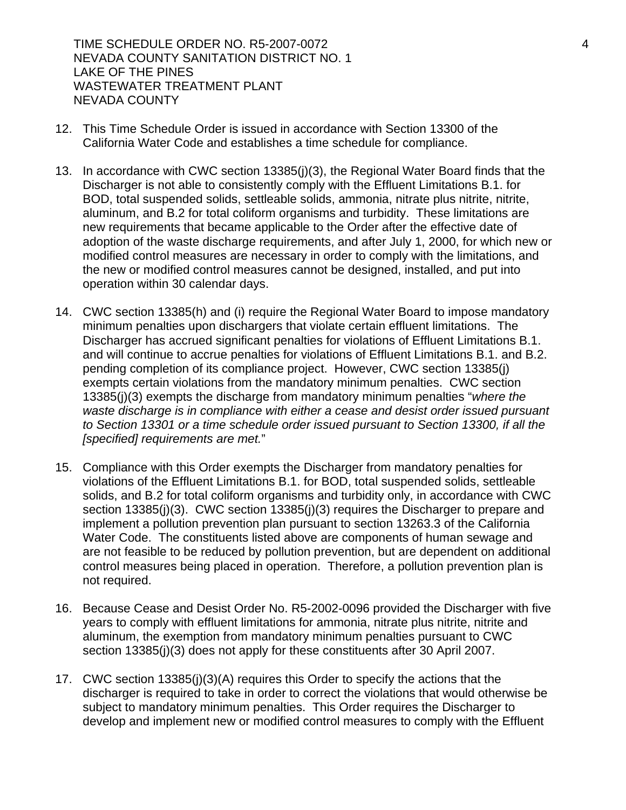TIME SCHEDULE ORDER NO. R5-2007-0072 4 NEVADA COUNTY SANITATION DISTRICT NO. 1 LAKE OF THE PINES WASTEWATER TREATMENT PLANT NEVADA COUNTY

- 12. This Time Schedule Order is issued in accordance with Section 13300 of the California Water Code and establishes a time schedule for compliance.
- 13. In accordance with CWC section 13385(j)(3), the Regional Water Board finds that the Discharger is not able to consistently comply with the Effluent Limitations B.1. for BOD, total suspended solids, settleable solids, ammonia, nitrate plus nitrite, nitrite, aluminum, and B.2 for total coliform organisms and turbidity. These limitations are new requirements that became applicable to the Order after the effective date of adoption of the waste discharge requirements, and after July 1, 2000, for which new or modified control measures are necessary in order to comply with the limitations, and the new or modified control measures cannot be designed, installed, and put into operation within 30 calendar days.
- 14. CWC section 13385(h) and (i) require the Regional Water Board to impose mandatory minimum penalties upon dischargers that violate certain effluent limitations. The Discharger has accrued significant penalties for violations of Effluent Limitations B.1. and will continue to accrue penalties for violations of Effluent Limitations B.1. and B.2. pending completion of its compliance project. However, CWC section 13385(j) exempts certain violations from the mandatory minimum penalties. CWC section 13385(j)(3) exempts the discharge from mandatory minimum penalties "*where the waste discharge is in compliance with either a cease and desist order issued pursuant to Section 13301 or a time schedule order issued pursuant to Section 13300, if all the [specified] requirements are met.*"
- 15. Compliance with this Order exempts the Discharger from mandatory penalties for violations of the Effluent Limitations B.1. for BOD, total suspended solids, settleable solids, and B.2 for total coliform organisms and turbidity only, in accordance with CWC section 13385(j)(3). CWC section 13385(j)(3) requires the Discharger to prepare and implement a pollution prevention plan pursuant to section 13263.3 of the California Water Code. The constituents listed above are components of human sewage and are not feasible to be reduced by pollution prevention, but are dependent on additional control measures being placed in operation. Therefore, a pollution prevention plan is not required.
- 16. Because Cease and Desist Order No. R5-2002-0096 provided the Discharger with five years to comply with effluent limitations for ammonia, nitrate plus nitrite, nitrite and aluminum, the exemption from mandatory minimum penalties pursuant to CWC section 13385(j)(3) does not apply for these constituents after 30 April 2007.
- 17. CWC section 13385(j)(3)(A) requires this Order to specify the actions that the discharger is required to take in order to correct the violations that would otherwise be subject to mandatory minimum penalties. This Order requires the Discharger to develop and implement new or modified control measures to comply with the Effluent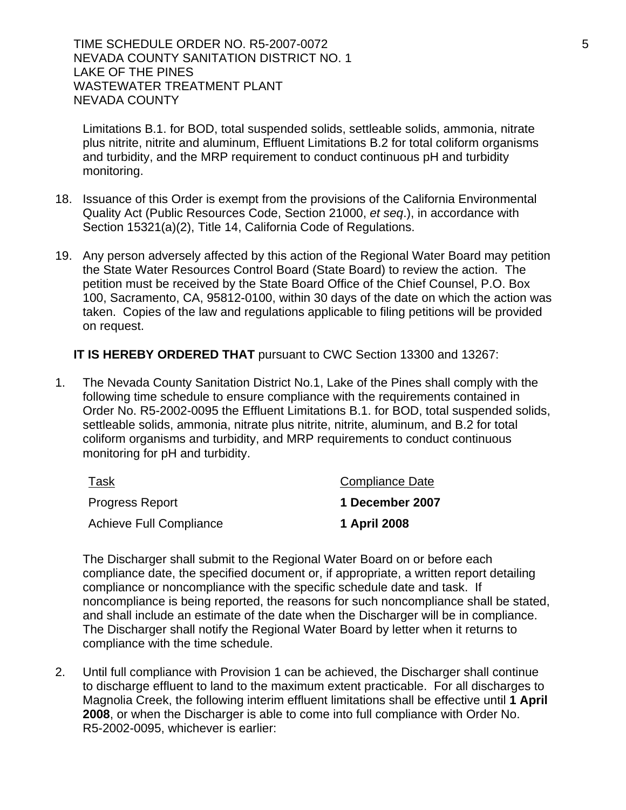TIME SCHEDULE ORDER NO. R5-2007-0072 5 STATES STATES AND THE SCHEDULE ORDER NO. 85-2007-0072 NEVADA COUNTY SANITATION DISTRICT NO. 1 LAKE OF THE PINES WASTEWATER TREATMENT PLANT NEVADA COUNTY

Limitations B.1. for BOD, total suspended solids, settleable solids, ammonia, nitrate plus nitrite, nitrite and aluminum, Effluent Limitations B.2 for total coliform organisms and turbidity, and the MRP requirement to conduct continuous pH and turbidity monitoring.

- 18. Issuance of this Order is exempt from the provisions of the California Environmental Quality Act (Public Resources Code, Section 21000, *et seq*.), in accordance with Section 15321(a)(2), Title 14, California Code of Regulations.
- 19. Any person adversely affected by this action of the Regional Water Board may petition the State Water Resources Control Board (State Board) to review the action. The petition must be received by the State Board Office of the Chief Counsel, P.O. Box 100, Sacramento, CA, 95812-0100, within 30 days of the date on which the action was taken. Copies of the law and regulations applicable to filing petitions will be provided on request.

**IT IS HEREBY ORDERED THAT** pursuant to CWC Section 13300 and 13267:

1. The Nevada County Sanitation District No.1, Lake of the Pines shall comply with the following time schedule to ensure compliance with the requirements contained in Order No. R5-2002-0095 the Effluent Limitations B.1. for BOD, total suspended solids, settleable solids, ammonia, nitrate plus nitrite, nitrite, aluminum, and B.2 for total coliform organisms and turbidity, and MRP requirements to conduct continuous monitoring for pH and turbidity.

| Task                    | <b>Compliance Date</b> |
|-------------------------|------------------------|
| <b>Progress Report</b>  | 1 December 2007        |
| Achieve Full Compliance | 1 April 2008           |

The Discharger shall submit to the Regional Water Board on or before each compliance date, the specified document or, if appropriate, a written report detailing compliance or noncompliance with the specific schedule date and task. If noncompliance is being reported, the reasons for such noncompliance shall be stated, and shall include an estimate of the date when the Discharger will be in compliance. The Discharger shall notify the Regional Water Board by letter when it returns to compliance with the time schedule.

2. Until full compliance with Provision 1 can be achieved, the Discharger shall continue to discharge effluent to land to the maximum extent practicable. For all discharges to Magnolia Creek, the following interim effluent limitations shall be effective until **1 April 2008**, or when the Discharger is able to come into full compliance with Order No. R5-2002-0095, whichever is earlier: